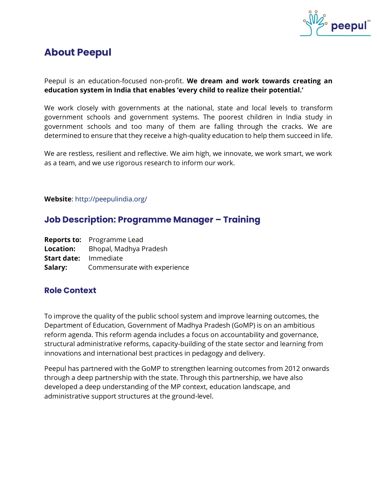

# **About Peepul**

Peepul is an education-focused non-profit. **We dream and work towards creating an education system in India that enables 'every child to realize their potential.'**

We work closely with governments at the national, state and local levels to transform government schools and government systems. The poorest children in India study in government schools and too many of them are falling through the cracks. We are determined to ensure that they receive a high-quality education to help them succeed in life.

We are restless, resilient and reflective. We aim high, we innovate, we work smart, we work as a team, and we use rigorous research to inform our work.

#### **Website**: http://peepulindia.org/

# **Job Description: Programme Manager – Training**

|                              | <b>Reports to:</b> Programme Lead       |
|------------------------------|-----------------------------------------|
|                              | <b>Location:</b> Bhopal, Madhya Pradesh |
| <b>Start date:</b> Immediate |                                         |
| Salary:                      | Commensurate with experience            |

## **Role Context**

To improve the quality of the public school system and improve learning outcomes, the Department of Education, Government of Madhya Pradesh (GoMP) is on an ambitious reform agenda. This reform agenda includes a focus on accountability and governance, structural administrative reforms, capacity-building of the state sector and learning from innovations and international best practices in pedagogy and delivery.

Peepul has partnered with the GoMP to strengthen learning outcomes from 2012 onwards through a deep partnership with the state. Through this partnership, we have also developed a deep understanding of the MP context, education landscape, and administrative support structures at the ground-level.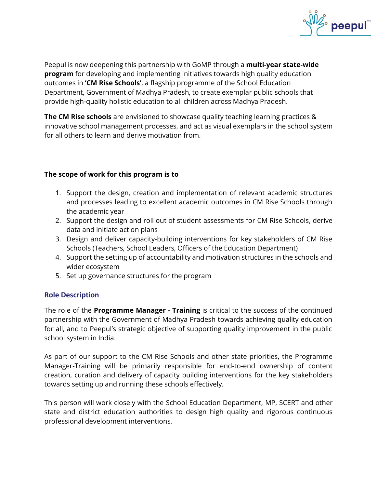

Peepul is now deepening this partnership with GoMP through a **multi-year state-wide program** for developing and implementing initiatives towards high quality education outcomes in **'CM Rise Schools'**, a flagship programme of the School Education Department, Government of Madhya Pradesh, to create exemplar public schools that provide high-quality holistic education to all children across Madhya Pradesh.

**The CM Rise schools** are envisioned to showcase quality teaching learning practices & innovative school management processes, and act as visual exemplars in the school system for all others to learn and derive motivation from.

#### **The scope of work for this program is to**

- 1. Support the design, creation and implementation of relevant academic structures and processes leading to excellent academic outcomes in CM Rise Schools through the academic year
- 2. Support the design and roll out of student assessments for CM Rise Schools, derive data and initiate action plans
- 3. Design and deliver capacity-building interventions for key stakeholders of CM Rise Schools (Teachers, School Leaders, Officers of the Education Department)
- 4. Support the setting up of accountability and motivation structures in the schools and wider ecosystem
- 5. Set up governance structures for the program

## **Role Description**

The role of the **Programme Manager - Training** is critical to the success of the continued partnership with the Government of Madhya Pradesh towards achieving quality education for all, and to Peepul's strategic objective of supporting quality improvement in the public school system in India.

As part of our support to the CM Rise Schools and other state priorities, the Programme Manager-Training will be primarily responsible for end-to-end ownership of content creation, curation and delivery of capacity building interventions for the key stakeholders towards setting up and running these schools effectively.

This person will work closely with the School Education Department, MP, SCERT and other state and district education authorities to design high quality and rigorous continuous professional development interventions.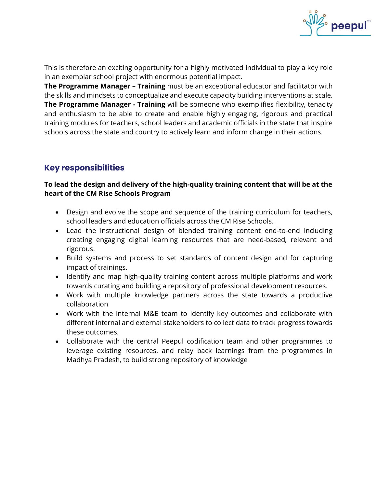

This is therefore an exciting opportunity for a highly motivated individual to play a key role in an exemplar school project with enormous potential impact.

**The Programme Manager – Training** must be an exceptional educator and facilitator with the skills and mindsets to conceptualize and execute capacity building interventions at scale. **The Programme Manager - Training** will be someone who exemplifies flexibility, tenacity and enthusiasm to be able to create and enable highly engaging, rigorous and practical training modules for teachers, school leaders and academic officials in the state that inspire schools across the state and country to actively learn and inform change in their actions.

# **Key responsibilities**

### **To lead the design and delivery of the high-quality training content that will be at the heart of the CM Rise Schools Program**

- Design and evolve the scope and sequence of the training curriculum for teachers, school leaders and education officials across the CM Rise Schools.
- Lead the instructional design of blended training content end-to-end including creating engaging digital learning resources that are need-based, relevant and rigorous.
- Build systems and process to set standards of content design and for capturing impact of trainings.
- Identify and map high-quality training content across multiple platforms and work towards curating and building a repository of professional development resources.
- Work with multiple knowledge partners across the state towards a productive collaboration
- Work with the internal M&E team to identify key outcomes and collaborate with different internal and external stakeholders to collect data to track progress towards these outcomes.
- Collaborate with the central Peepul codification team and other programmes to leverage existing resources, and relay back learnings from the programmes in Madhya Pradesh, to build strong repository of knowledge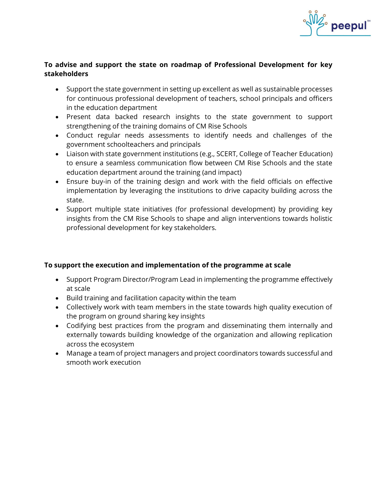

#### **To advise and support the state on roadmap of Professional Development for key stakeholders**

- Support the state government in setting up excellent as well as sustainable processes for continuous professional development of teachers, school principals and officers in the education department
- Present data backed research insights to the state government to support strengthening of the training domains of CM Rise Schools
- Conduct regular needs assessments to identify needs and challenges of the government schoolteachers and principals
- Liaison with state government institutions (e.g., SCERT, College of Teacher Education) to ensure a seamless communication flow between CM Rise Schools and the state education department around the training (and impact)
- Ensure buy-in of the training design and work with the field officials on effective implementation by leveraging the institutions to drive capacity building across the state.
- Support multiple state initiatives (for professional development) by providing key insights from the CM Rise Schools to shape and align interventions towards holistic professional development for key stakeholders.

## **To support the execution and implementation of the programme at scale**

- Support Program Director/Program Lead in implementing the programme effectively at scale
- Build training and facilitation capacity within the team
- Collectively work with team members in the state towards high quality execution of the program on ground sharing key insights
- Codifying best practices from the program and disseminating them internally and externally towards building knowledge of the organization and allowing replication across the ecosystem
- Manage a team of project managers and project coordinators towards successful and smooth work execution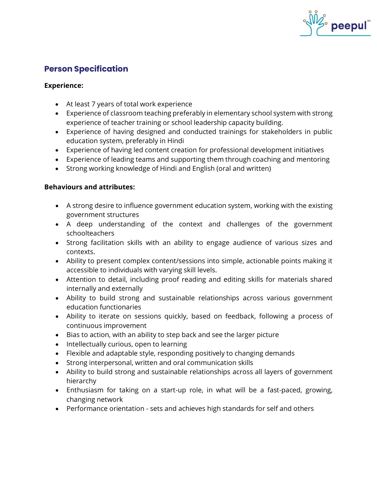

# **Person Specification**

#### **Experience:**

- At least 7 years of total work experience
- Experience of classroom teaching preferably in elementary school system with strong experience of teacher training or school leadership capacity building.
- Experience of having designed and conducted trainings for stakeholders in public education system, preferably in Hindi
- Experience of having led content creation for professional development initiatives
- Experience of leading teams and supporting them through coaching and mentoring
- Strong working knowledge of Hindi and English (oral and written)

#### **Behaviours and attributes:**

- A strong desire to influence government education system, working with the existing government structures
- A deep understanding of the context and challenges of the government schoolteachers
- Strong facilitation skills with an ability to engage audience of various sizes and contexts.
- Ability to present complex content/sessions into simple, actionable points making it accessible to individuals with varying skill levels.
- Attention to detail, including proof reading and editing skills for materials shared internally and externally
- Ability to build strong and sustainable relationships across various government education functionaries
- Ability to iterate on sessions quickly, based on feedback, following a process of continuous improvement
- Bias to action, with an ability to step back and see the larger picture
- Intellectually curious, open to learning
- Flexible and adaptable style, responding positively to changing demands
- Strong interpersonal, written and oral communication skills
- Ability to build strong and sustainable relationships across all layers of government hierarchy
- Enthusiasm for taking on a start-up role, in what will be a fast-paced, growing, changing network
- Performance orientation sets and achieves high standards for self and others